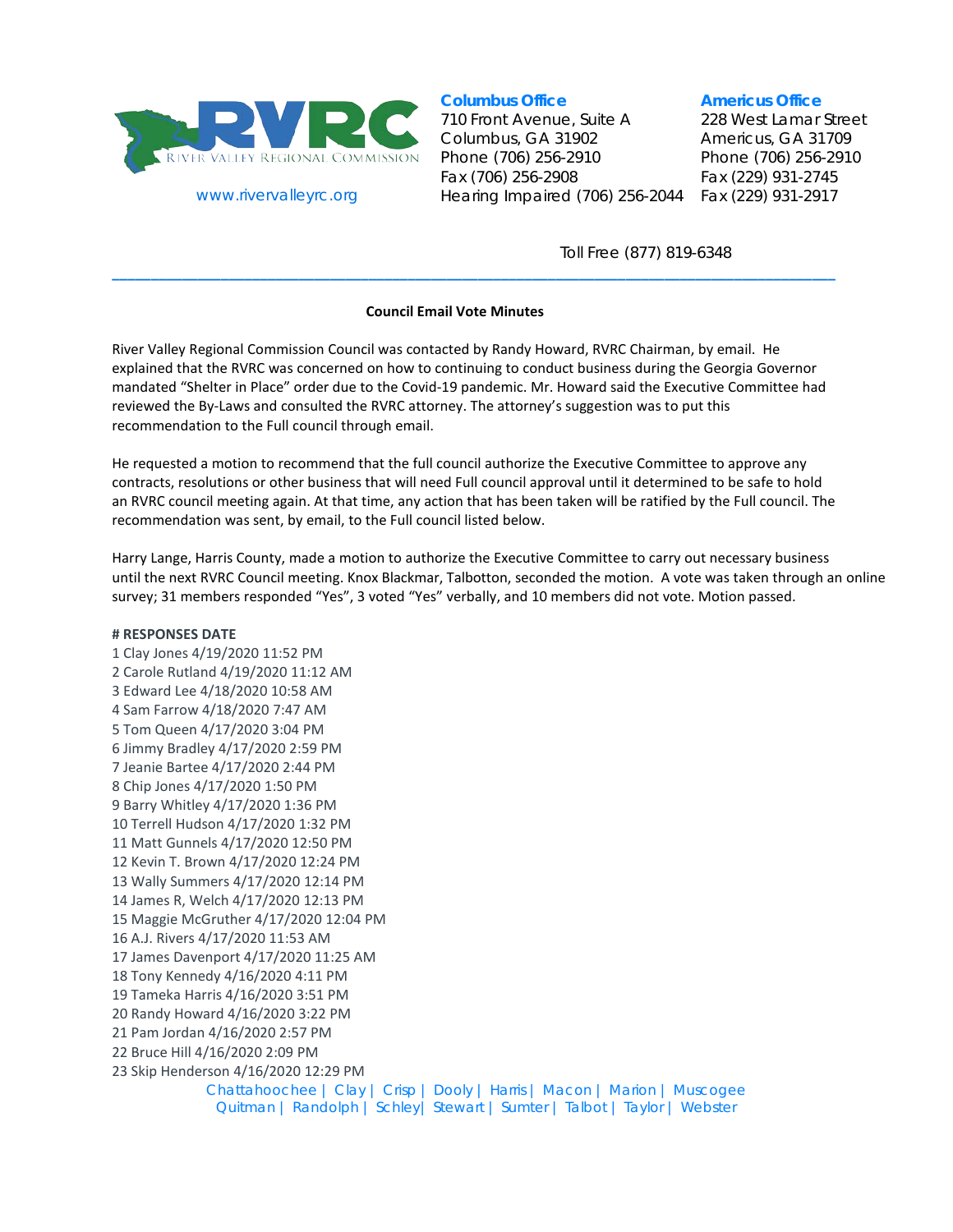

www.rivervalleyrc.org

# **Columbus Office**

710 Front Avenue, Suite A Columbus, GA 31902 Phone (706) 256-2910 Fax (706) 256-2908 Hearing Impaired (706) 256-2044

#### **Americus Office**

228 West Lamar Street Americus, GA 31709 Phone (706) 256-2910 Fax (229) 931-2745 Fax (229) 931-2917

Toll Free (877) 819-6348

## **Council Email Vote Minutes**

**\_\_\_\_\_\_\_\_\_\_\_\_\_\_\_\_\_\_\_\_\_\_\_\_\_\_\_\_\_\_\_\_\_\_\_\_\_\_\_\_\_\_\_\_\_\_\_\_\_\_\_\_\_\_\_\_\_\_\_\_\_\_\_\_\_\_\_\_\_\_\_\_\_\_\_\_\_\_\_\_\_\_\_\_\_\_\_\_\_\_\_\_\_**

River Valley Regional Commission Council was contacted by Randy Howard, RVRC Chairman, by email. He explained that the RVRC was concerned on how to continuing to conduct business during the Georgia Governor mandated "Shelter in Place" order due to the Covid-19 pandemic. Mr. Howard said the Executive Committee had reviewed the By-Laws and consulted the RVRC attorney. The attorney's suggestion was to put this recommendation to the Full council through email.

He requested a motion to recommend that the full council authorize the Executive Committee to approve any contracts, resolutions or other business that will need Full council approval until it determined to be safe to hold an RVRC council meeting again. At that time, any action that has been taken will be ratified by the Full council. The recommendation was sent, by email, to the Full council listed below.

Harry Lange, Harris County, made a motion to authorize the Executive Committee to carry out necessary business until the next RVRC Council meeting. Knox Blackmar, Talbotton, seconded the motion. A vote was taken through an online survey; 31 members responded "Yes", 3 voted "Yes" verbally, and 10 members did not vote. Motion passed.

### **# RESPONSES DATE**

Chattahoochee | Clay | Crisp | Dooly | Harris | Macon | Marion | Muscogee Quitman | Randolph | Schley| Stewart | Sumter | Talbot | Taylor | Webster 1 Clay Jones 4/19/2020 11:52 PM 2 Carole Rutland 4/19/2020 11:12 AM 3 Edward Lee 4/18/2020 10:58 AM 4 Sam Farrow 4/18/2020 7:47 AM 5 Tom Queen 4/17/2020 3:04 PM 6 Jimmy Bradley 4/17/2020 2:59 PM 7 Jeanie Bartee 4/17/2020 2:44 PM 8 Chip Jones 4/17/2020 1:50 PM 9 Barry Whitley 4/17/2020 1:36 PM 10 Terrell Hudson 4/17/2020 1:32 PM 11 Matt Gunnels 4/17/2020 12:50 PM 12 Kevin T. Brown 4/17/2020 12:24 PM 13 Wally Summers 4/17/2020 12:14 PM 14 James R, Welch 4/17/2020 12:13 PM 15 Maggie McGruther 4/17/2020 12:04 PM 16 A.J. Rivers 4/17/2020 11:53 AM 17 James Davenport 4/17/2020 11:25 AM 18 Tony Kennedy 4/16/2020 4:11 PM 19 Tameka Harris 4/16/2020 3:51 PM 20 Randy Howard 4/16/2020 3:22 PM 21 Pam Jordan 4/16/2020 2:57 PM 22 Bruce Hill 4/16/2020 2:09 PM 23 Skip Henderson 4/16/2020 12:29 PM